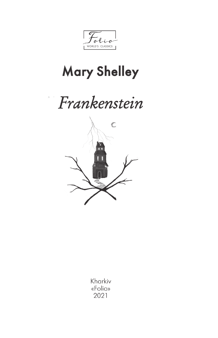$\mathfrak{G}$ WORLD'S CLASSICS

## **Mary Shelley**

# Frankenstein



Kharkiv «Folio» 2021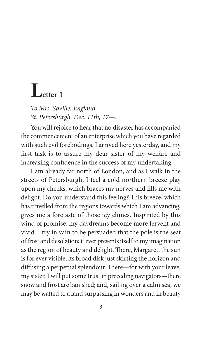### $\prod$   $_{\text{letter 1}}$

*To Mrs. Saville, England. St. Petersburgh, Dec. 11th, 17—.*

You will rejoice to hear that no disaster has accompanied the commencement of an enterprise which you have regarded with such evil forebodings. I arrived here yesterday, and my first task is to assure my dear sister of my welfare and increasing confidence in the success of my undertaking.

I am already far north of London, and as I walk in the streets of Petersburgh, I feel a cold northern breeze play upon my cheeks, which braces my nerves and fills me with delight. Do you understand this feeling? This breeze, which has travelled from the regions towards which I am advancing, gives me a foretaste of those icy climes. Inspirited by this wind of promise, my daydreams become more fervent and vivid. I try in vain to be persuaded that the pole is the seat of frost and desolation; it ever presents itself to my imagination as the region of beauty and delight. There, Margaret, the sun is for ever visible, its broad disk just skirting the horizon and diffusing a perpetual splendour. There—for with your leave, my sister, I will put some trust in preceding navigators—there snow and frost are banished; and, sailing over a calm sea, we may be wafted to a land surpassing in wonders and in beauty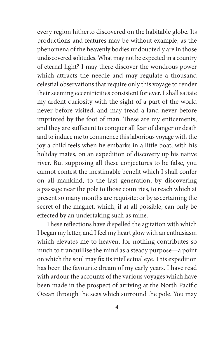every region hitherto discovered on the habitable globe. Its productions and features may be without example, as the phenomena of the heavenly bodies undoubtedly are in those undiscovered solitudes. What may not be expected in a country of eternal light? I may there discover the wondrous power which attracts the needle and may regulate a thousand celestial observations that require only this voyage to render their seeming eccentricities consistent for ever. I shall satiate my ardent curiosity with the sight of a part of the world never before visited, and may tread a land never before imprinted by the foot of man. These are my enticements, and they are sufficient to conquer all fear of danger or death and to induce me to commence this laborious voyage with the joy a child feels when he embarks in a little boat, with his holiday mates, on an expedition of discovery up his native river. But supposing all these conjectures to be false, you cannot contest the inestimable benefit which I shall confer on all mankind, to the last generation, by discovering a passage near the pole to those countries, to reach which at present so many months are requisite; or by ascertaining the secret of the magnet, which, if at all possible, can only be effected by an undertaking such as mine.

These reflections have dispelled the agitation with which I began my letter, and I feel my heart glow with an enthusiasm which elevates me to heaven, for nothing contributes so much to tranquillise the mind as a steady purpose—a point on which the soul may fix its intellectual eye. This expedition has been the favourite dream of my early years. I have read with ardour the accounts of the various voyages which have been made in the prospect of arriving at the North Pacific Ocean through the seas which surround the pole. You may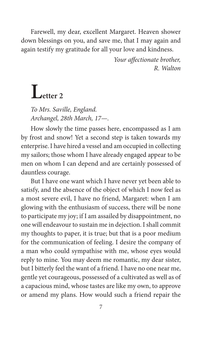Farewell, my dear, excellent Margaret. Heaven shower down blessings on you, and save me, that I may again and again testify my gratitude for all your love and kindness.

> *Your affectionate brother, R. Walton*

## **Letter 2**

*To Mrs. Saville, England. Archangel, 28th March, 17—.*

How slowly the time passes here, encompassed as I am by frost and snow! Yet a second step is taken towards my enterprise. I have hired a vessel and am occupied in collecting my sailors; those whom I have already engaged appear to be men on whom I can depend and are certainly possessed of dauntless courage.

But I have one want which I have never yet been able to satisfy, and the absence of the object of which I now feel as a most severe evil, I have no friend, Margaret: when I am glowing with the enthusiasm of success, there will be none to participate my joy; if I am assailed by disappointment, no one will endeavour to sustain me in dejection. I shall commit my thoughts to paper, it is true; but that is a poor medium for the communication of feeling. I desire the company of a man who could sympathise with me, whose eyes would reply to mine. You may deem me romantic, my dear sister, but I bitterly feel the want of a friend. I have no one near me, gentle yet courageous, possessed of a cultivated as well as of a capacious mind, whose tastes are like my own, to approve or amend my plans. How would such a friend repair the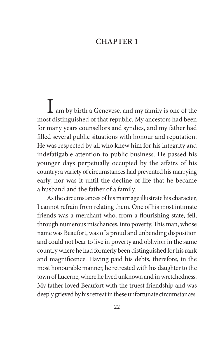#### **Chapter 1**

 $\prod$  am by birth a Genevese, and my family is one of the most distinguished of that republic. My ancestors had been for many years counsellors and syndics, and my father had filled several public situations with honour and reputation. He was respected by all who knew him for his integrity and indefatigable attention to public business. He passed his younger days perpetually occupied by the affairs of his country; a variety of circumstances had prevented his marrying early, nor was it until the decline of life that he became a husband and the father of a family.

As the circumstances of his marriage illustrate his character, I cannot refrain from relating them. One of his most intimate friends was a merchant who, from a flourishing state, fell, through numerous mischances, into poverty. This man, whose name was Beaufort, was of a proud and unbending disposition and could not bear to live in poverty and oblivion in the same country where he had formerly been distinguished for his rank and magnificence. Having paid his debts, therefore, in the most honourable manner, he retreated with his daughter to the town of Lucerne, where he lived unknown and in wretchedness. My father loved Beaufort with the truest friendship and was deeply grieved by his retreat in these unfortunate circumstances.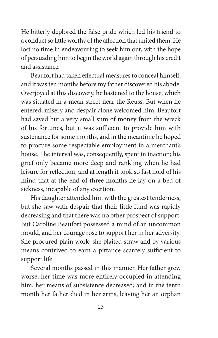He bitterly deplored the false pride which led his friend to a conduct so little worthy of the affection that united them. He lost no time in endeavouring to seek him out, with the hope of persuading him to begin the world again through his credit and assistance.

Beaufort had taken effectual measures to conceal himself, and it was ten months before my father discovered his abode. Overjoyed at this discovery, he hastened to the house, which was situated in a mean street near the Reuss. But when he entered, misery and despair alone welcomed him. Beaufort had saved but a very small sum of money from the wreck of his fortunes, but it was sufficient to provide him with sustenance for some months, and in the meantime he hoped to procure some respectable employment in a merchant's house. The interval was, consequently, spent in inaction; his grief only became more deep and rankling when he had leisure for reflection, and at length it took so fast hold of his mind that at the end of three months he lay on a bed of sickness, incapable of any exertion.

His daughter attended him with the greatest tenderness, but she saw with despair that their little fund was rapidly decreasing and that there was no other prospect of support. But Caroline Beaufort possessed a mind of an uncommon mould, and her courage rose to support her in her adversity. She procured plain work; she plaited straw and by various means contrived to earn a pittance scarcely sufficient to support life.

Several months passed in this manner. Her father grew worse; her time was more entirely occupied in attending him; her means of subsistence decreased; and in the tenth month her father died in her arms, leaving her an orphan